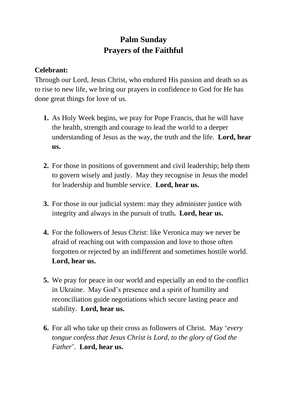## **Palm Sunday Prayers of the Faithful**

## **Celebrant:**

Through our Lord, Jesus Christ, who endured His passion and death so as to rise to new life, we bring our prayers in confidence to God for He has done great things for love of us.

- **1.** As Holy Week begins, we pray for Pope Francis, that he will have the health, strength and courage to lead the world to a deeper understanding of Jesus as the way, the truth and the life. **Lord, hear us.**
- **2.** For those in positions of government and civil leadership; help them to govern wisely and justly. May they recognise in Jesus the model for leadership and humble service. **Lord, hear us.**
- **3.** For those in our judicial system: may they administer justice with integrity and always in the pursuit of truth**. Lord, hear us.**
- **4.** For the followers of Jesus Christ: like Veronica may we never be afraid of reaching out with compassion and love to those often forgotten or rejected by an indifferent and sometimes hostile world. **Lord, hear us.**
- **5.** We pray for peace in our world and especially an end to the conflict in Ukraine. May God's presence and a spirit of humility and reconciliation guide negotiations which secure lasting peace and stability. **Lord, hear us.**
- **6.** For all who take up their cross as followers of Christ. May '*every tongue confess that Jesus Christ is Lord, to the glory of God the Father*'. **Lord, hear us.**